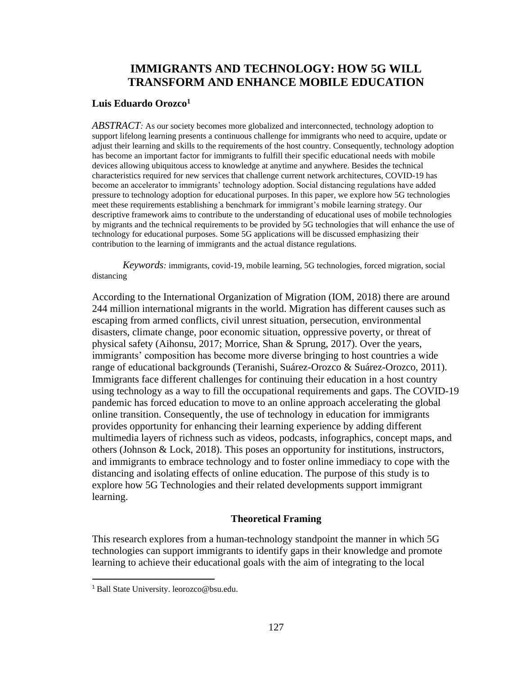# **IMMIGRANTS AND TECHNOLOGY: HOW 5G WILL TRANSFORM AND ENHANCE MOBILE EDUCATION**

## **Luis Eduardo Orozco<sup>1</sup>**

*ABSTRACT:* As our society becomes more globalized and interconnected, technology adoption to support lifelong learning presents a continuous challenge for immigrants who need to acquire, update or adjust their learning and skills to the requirements of the host country. Consequently, technology adoption has become an important factor for immigrants to fulfill their specific educational needs with mobile devices allowing ubiquitous access to knowledge at anytime and anywhere. Besides the technical characteristics required for new services that challenge current network architectures, COVID-19 has become an accelerator to immigrants' technology adoption. Social distancing regulations have added pressure to technology adoption for educational purposes. In this paper, we explore how 5G technologies meet these requirements establishing a benchmark for immigrant's mobile learning strategy. Our descriptive framework aims to contribute to the understanding of educational uses of mobile technologies by migrants and the technical requirements to be provided by 5G technologies that will enhance the use of technology for educational purposes. Some 5G applications will be discussed emphasizing their contribution to the learning of immigrants and the actual distance regulations.

*Keywords:* immigrants, covid-19, mobile learning, 5G technologies, forced migration, social distancing

According to the International Organization of Migration (IOM, 2018) there are around 244 million international migrants in the world. Migration has different causes such as escaping from armed conflicts, civil unrest situation, persecution, environmental disasters, climate change, poor economic situation, oppressive poverty, or threat of physical safety (Aihonsu, 2017; Morrice, Shan & Sprung, 2017). Over the years, immigrants' composition has become more diverse bringing to host countries a wide range of educational backgrounds (Teranishi, Suárez-Orozco & Suárez-Orozco, 2011). Immigrants face different challenges for continuing their education in a host country using technology as a way to fill the occupational requirements and gaps. The COVID-19 pandemic has forced education to move to an online approach accelerating the global online transition. Consequently, the use of technology in education for immigrants provides opportunity for enhancing their learning experience by adding different multimedia layers of richness such as videos, podcasts, infographics, concept maps, and others (Johnson & Lock, 2018). This poses an opportunity for institutions, instructors, and immigrants to embrace technology and to foster online immediacy to cope with the distancing and isolating effects of online education. The purpose of this study is to explore how 5G Technologies and their related developments support immigrant learning.

## **Theoretical Framing**

This research explores from a human-technology standpoint the manner in which 5G technologies can support immigrants to identify gaps in their knowledge and promote learning to achieve their educational goals with the aim of integrating to the local

<sup>1</sup> Ball State University. leorozco@bsu.edu.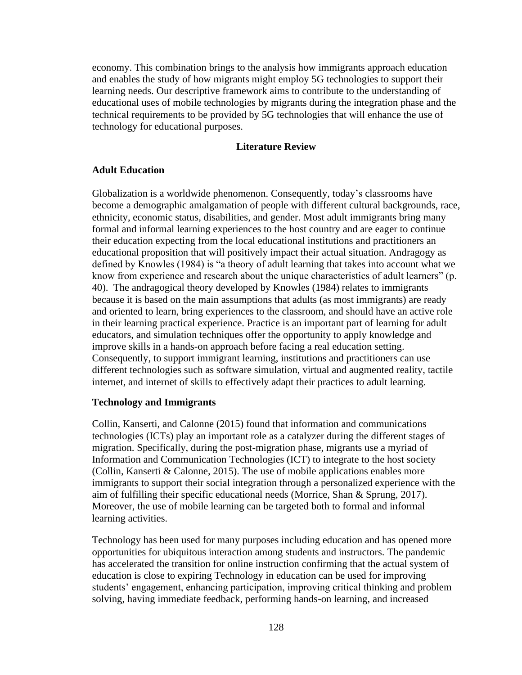economy. This combination brings to the analysis how immigrants approach education and enables the study of how migrants might employ 5G technologies to support their learning needs. Our descriptive framework aims to contribute to the understanding of educational uses of mobile technologies by migrants during the integration phase and the technical requirements to be provided by 5G technologies that will enhance the use of technology for educational purposes.

## **Literature Review**

#### **Adult Education**

Globalization is a worldwide phenomenon. Consequently, today's classrooms have become a demographic amalgamation of people with different cultural backgrounds, race, ethnicity, economic status, disabilities, and gender. Most adult immigrants bring many formal and informal learning experiences to the host country and are eager to continue their education expecting from the local educational institutions and practitioners an educational proposition that will positively impact their actual situation. Andragogy as defined by Knowles (1984) is "a theory of adult learning that takes into account what we know from experience and research about the unique characteristics of adult learners" (p. 40). The andragogical theory developed by Knowles (1984) relates to immigrants because it is based on the main assumptions that adults (as most immigrants) are ready and oriented to learn, bring experiences to the classroom, and should have an active role in their learning practical experience. Practice is an important part of learning for adult educators, and simulation techniques offer the opportunity to apply knowledge and improve skills in a hands-on approach before facing a real education setting. Consequently, to support immigrant learning, institutions and practitioners can use different technologies such as software simulation, virtual and augmented reality, tactile internet, and internet of skills to effectively adapt their practices to adult learning.

#### **Technology and Immigrants**

Collin, Kanserti, and Calonne (2015) found that information and communications technologies (ICTs) play an important role as a catalyzer during the different stages of migration. Specifically, during the post-migration phase, migrants use a myriad of Information and Communication Technologies (ICT) to integrate to the host society (Collin, Kanserti & Calonne, 2015). The use of mobile applications enables more immigrants to support their social integration through a personalized experience with the aim of fulfilling their specific educational needs (Morrice, Shan & Sprung, 2017). Moreover, the use of mobile learning can be targeted both to formal and informal learning activities.

Technology has been used for many purposes including education and has opened more opportunities for ubiquitous interaction among students and instructors. The pandemic has accelerated the transition for online instruction confirming that the actual system of education is close to expiring Technology in education can be used for improving students' engagement, enhancing participation, improving critical thinking and problem solving, having immediate feedback, performing hands-on learning, and increased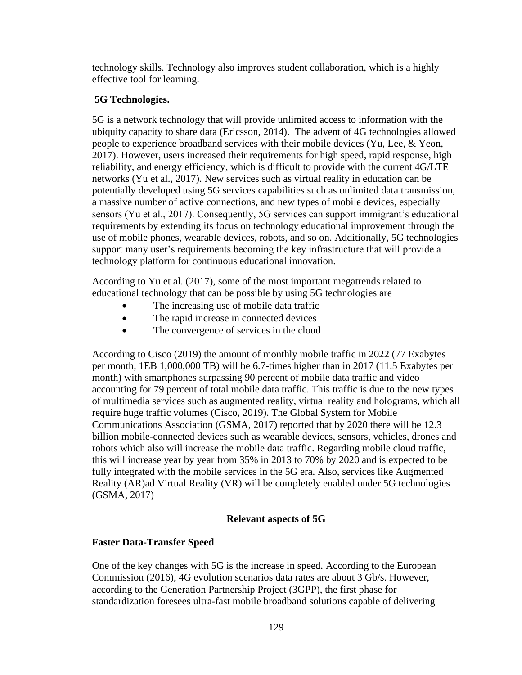technology skills. Technology also improves student collaboration, which is a highly effective tool for learning.

## **5G Technologies.**

5G is a network technology that will provide unlimited access to information with the ubiquity capacity to share data (Ericsson, 2014). The advent of 4G technologies allowed people to experience broadband services with their mobile devices (Yu, Lee, & Yeon, 2017). However, users increased their requirements for high speed, rapid response, high reliability, and energy efficiency, which is difficult to provide with the current 4G/LTE networks (Yu et al., 2017). New services such as virtual reality in education can be potentially developed using 5G services capabilities such as unlimited data transmission, a massive number of active connections, and new types of mobile devices, especially sensors (Yu et al., 2017). Consequently, 5G services can support immigrant's educational requirements by extending its focus on technology educational improvement through the use of mobile phones, wearable devices, robots, and so on. Additionally, 5G technologies support many user's requirements becoming the key infrastructure that will provide a technology platform for continuous educational innovation.

According to Yu et al. (2017), some of the most important megatrends related to educational technology that can be possible by using 5G technologies are

- The increasing use of mobile data traffic
- The rapid increase in connected devices
- The convergence of services in the cloud

According to Cisco (2019) the amount of monthly mobile traffic in 2022 (77 Exabytes per month, 1EB 1,000,000 TB) will be 6.7-times higher than in 2017 (11.5 Exabytes per month) with smartphones surpassing 90 percent of mobile data traffic and video accounting for 79 percent of total mobile data traffic. This traffic is due to the new types of multimedia services such as augmented reality, virtual reality and holograms, which all require huge traffic volumes (Cisco, 2019). The Global System for Mobile Communications Association (GSMA, 2017) reported that by 2020 there will be 12.3 billion mobile-connected devices such as wearable devices, sensors, vehicles, drones and robots which also will increase the mobile data traffic. Regarding mobile cloud traffic, this will increase year by year from 35% in 2013 to 70% by 2020 and is expected to be fully integrated with the mobile services in the 5G era. Also, services like Augmented Reality (AR)ad Virtual Reality (VR) will be completely enabled under 5G technologies (GSMA, 2017)

## **Relevant aspects of 5G**

## **Faster Data-Transfer Speed**

One of the key changes with 5G is the increase in speed. According to the European Commission (2016), 4G evolution scenarios data rates are about 3 Gb/s. However, according to the Generation Partnership Project (3GPP), the first phase for standardization foresees ultra-fast mobile broadband solutions capable of delivering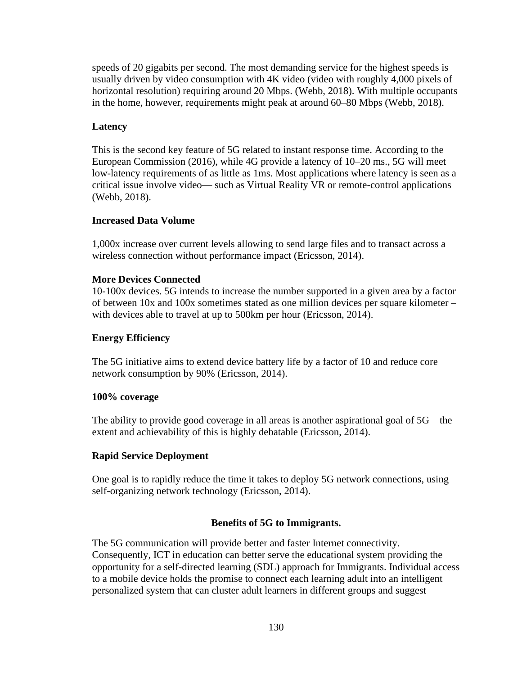speeds of 20 gigabits per second. The most demanding service for the highest speeds is usually driven by video consumption with 4K video (video with roughly 4,000 pixels of horizontal resolution) requiring around 20 Mbps. (Webb, 2018). With multiple occupants in the home, however, requirements might peak at around 60–80 Mbps (Webb, 2018).

## **Latency**

This is the second key feature of 5G related to instant response time. According to the European Commission (2016), while 4G provide a latency of 10–20 ms., 5G will meet low-latency requirements of as little as 1ms. Most applications where latency is seen as a critical issue involve video— such as Virtual Reality VR or remote-control applications (Webb, 2018).

## **Increased Data Volume**

1,000x increase over current levels allowing to send large files and to transact across a wireless connection without performance impact (Ericsson, 2014).

## **More Devices Connected**

10-100x devices. 5G intends to increase the number supported in a given area by a factor of between 10x and 100x sometimes stated as one million devices per square kilometer – with devices able to travel at up to 500km per hour (Ericsson, 2014).

### **Energy Efficiency**

The 5G initiative aims to extend device battery life by a factor of 10 and reduce core network consumption by 90% (Ericsson, 2014).

#### **100% coverage**

The ability to provide good coverage in all areas is another aspirational goal of  $5G$  – the extent and achievability of this is highly debatable (Ericsson, 2014).

## **Rapid Service Deployment**

One goal is to rapidly reduce the time it takes to deploy 5G network connections, using self-organizing network technology (Ericsson, 2014).

## **Benefits of 5G to Immigrants.**

The 5G communication will provide better and faster Internet connectivity. Consequently, ICT in education can better serve the educational system providing the opportunity for a self-directed learning (SDL) approach for Immigrants. Individual access to a mobile device holds the promise to connect each learning adult into an intelligent personalized system that can cluster adult learners in different groups and suggest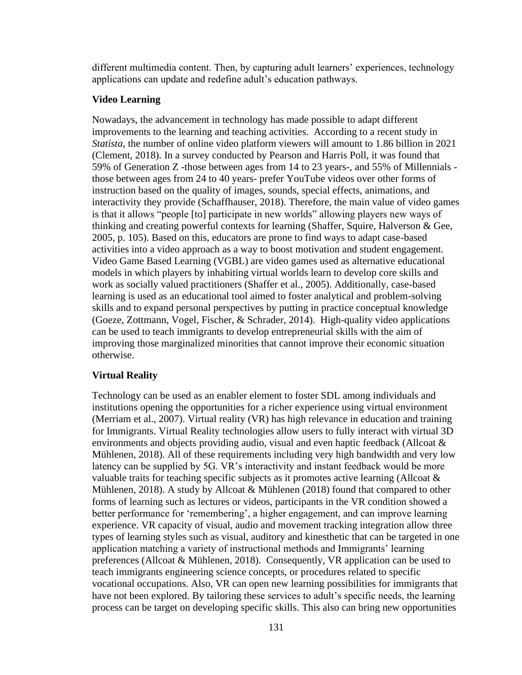different multimedia content. Then, by capturing adult learners' experiences, technology applications can update and redefine adult's education pathways.

### **Video Learning**

Nowadays, the advancement in technology has made possible to adapt different improvements to the learning and teaching activities. According to a recent study in *Statista,* the number of online video platform viewers will amount to 1.86 billion in 2021 (Clement, 2018). In a survey conducted by Pearson and Harris Poll, it was found that 59% of Generation Z -those between ages from 14 to 23 years-, and 55% of Millennials those between ages from 24 to 40 years- prefer YouTube videos over other forms of instruction based on the quality of images, sounds, special effects, animations, and interactivity they provide (Schaffhauser, 2018). Therefore, the main value of video games is that it allows "people [to] participate in new worlds" allowing players new ways of thinking and creating powerful contexts for learning (Shaffer, Squire, Halverson & Gee, 2005, p. 105). Based on this, educators are prone to find ways to adapt case-based activities into a video approach as a way to boost motivation and student engagement. Video Game Based Learning (VGBL) are video games used as alternative educational models in which players by inhabiting virtual worlds learn to develop core skills and work as socially valued practitioners (Shaffer et al., 2005). Additionally, case-based learning is used as an educational tool aimed to foster analytical and problem-solving skills and to expand personal perspectives by putting in practice conceptual knowledge (Goeze, Zottmann, Vogel, Fischer, & Schrader, 2014). High-quality video applications can be used to teach immigrants to develop entrepreneurial skills with the aim of improving those marginalized minorities that cannot improve their economic situation otherwise.

## **Virtual Reality**

Technology can be used as an enabler element to foster SDL among individuals and institutions opening the opportunities for a richer experience using virtual environment (Merriam et al., 2007). Virtual reality (VR) has high relevance in education and training for Immigrants. Virtual Reality technologies allow users to fully interact with virtual 3D environments and objects providing audio, visual and even haptic feedback (Allcoat & Mühlenen, 2018). All of these requirements including very high bandwidth and very low latency can be supplied by 5G. VR's interactivity and instant feedback would be more valuable traits for teaching specific subjects as it promotes active learning (Allcoat  $\&$ Mühlenen, 2018). A study by Allcoat & Mühlenen (2018) found that compared to other forms of learning such as lectures or videos, participants in the VR condition showed a better performance for 'remembering', a higher engagement, and can improve learning experience. VR capacity of visual, audio and movement tracking integration allow three types of learning styles such as visual, auditory and kinesthetic that can be targeted in one application matching a variety of instructional methods and Immigrants' learning preferences (Allcoat & Mühlenen, 2018). Consequently, VR application can be used to teach immigrants engineering science concepts, or procedures related to specific vocational occupations. Also, VR can open new learning possibilities for immigrants that have not been explored. By tailoring these services to adult's specific needs, the learning process can be target on developing specific skills. This also can bring new opportunities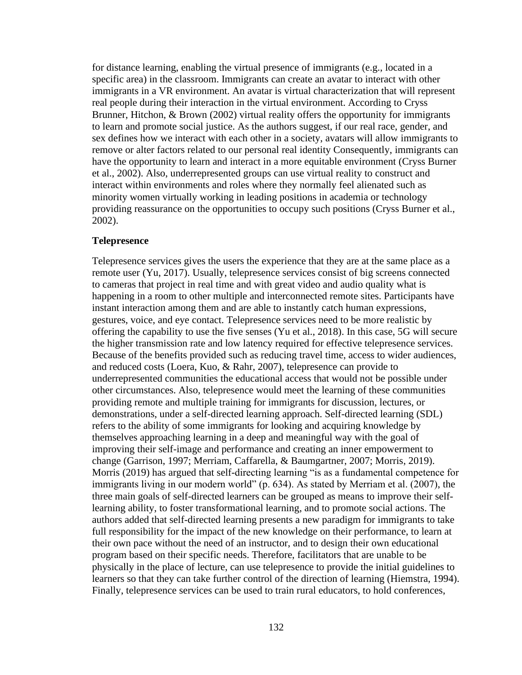for distance learning, enabling the virtual presence of immigrants (e.g., located in a specific area) in the classroom. Immigrants can create an avatar to interact with other immigrants in a VR environment. An avatar is virtual characterization that will represent real people during their interaction in the virtual environment. According to Cryss Brunner, Hitchon, & Brown (2002) virtual reality offers the opportunity for immigrants to learn and promote social justice. As the authors suggest, if our real race, gender, and sex defines how we interact with each other in a society, avatars will allow immigrants to remove or alter factors related to our personal real identity Consequently, immigrants can have the opportunity to learn and interact in a more equitable environment (Cryss Burner et al., 2002). Also, underrepresented groups can use virtual reality to construct and interact within environments and roles where they normally feel alienated such as minority women virtually working in leading positions in academia or technology providing reassurance on the opportunities to occupy such positions (Cryss Burner et al., 2002).

## **Telepresence**

Telepresence services gives the users the experience that they are at the same place as a remote user (Yu, 2017). Usually, telepresence services consist of big screens connected to cameras that project in real time and with great video and audio quality what is happening in a room to other multiple and interconnected remote sites. Participants have instant interaction among them and are able to instantly catch human expressions, gestures, voice, and eye contact. Telepresence services need to be more realistic by offering the capability to use the five senses (Yu et al., 2018). In this case, 5G will secure the higher transmission rate and low latency required for effective telepresence services. Because of the benefits provided such as reducing travel time, access to wider audiences, and reduced costs (Loera, Kuo, & Rahr, 2007), telepresence can provide to underrepresented communities the educational access that would not be possible under other circumstances. Also, telepresence would meet the learning of these communities providing remote and multiple training for immigrants for discussion, lectures, or demonstrations, under a self-directed learning approach. Self-directed learning (SDL) refers to the ability of some immigrants for looking and acquiring knowledge by themselves approaching learning in a deep and meaningful way with the goal of improving their self-image and performance and creating an inner empowerment to change (Garrison, 1997; Merriam, Caffarella, & Baumgartner, 2007; Morris, 2019). Morris (2019) has argued that self-directing learning "is as a fundamental competence for immigrants living in our modern world" (p. 634). As stated by Merriam et al. (2007), the three main goals of self-directed learners can be grouped as means to improve their selflearning ability, to foster transformational learning, and to promote social actions. The authors added that self-directed learning presents a new paradigm for immigrants to take full responsibility for the impact of the new knowledge on their performance, to learn at their own pace without the need of an instructor, and to design their own educational program based on their specific needs. Therefore, facilitators that are unable to be physically in the place of lecture, can use telepresence to provide the initial guidelines to learners so that they can take further control of the direction of learning (Hiemstra, 1994). Finally, telepresence services can be used to train rural educators, to hold conferences,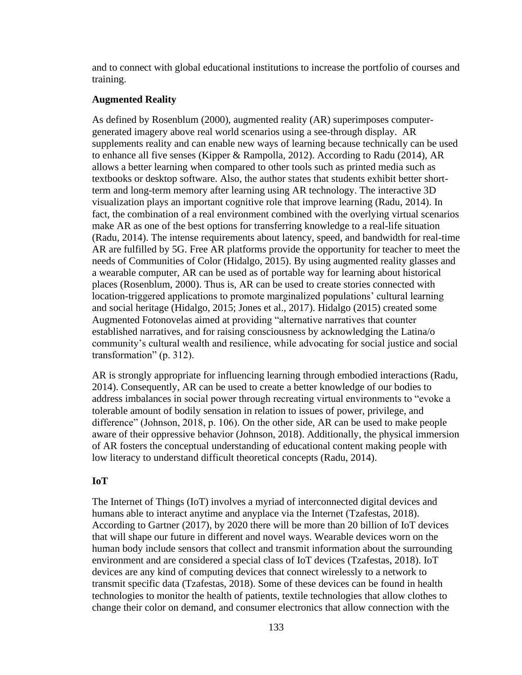and to connect with global educational institutions to increase the portfolio of courses and training.

#### **Augmented Reality**

As defined by Rosenblum (2000), augmented reality (AR) superimposes computergenerated imagery above real world scenarios using a see-through display. AR supplements reality and can enable new ways of learning because technically can be used to enhance all five senses (Kipper & Rampolla, 2012). According to Radu (2014), AR allows a better learning when compared to other tools such as printed media such as textbooks or desktop software. Also, the author states that students exhibit better shortterm and long-term memory after learning using AR technology. The interactive 3D visualization plays an important cognitive role that improve learning (Radu, 2014). In fact, the combination of a real environment combined with the overlying virtual scenarios make AR as one of the best options for transferring knowledge to a real-life situation (Radu, 2014). The intense requirements about latency, speed, and bandwidth for real-time AR are fulfilled by 5G. Free AR platforms provide the opportunity for teacher to meet the needs of Communities of Color (Hidalgo, 2015). By using augmented reality glasses and a wearable computer, AR can be used as of portable way for learning about historical places (Rosenblum, 2000). Thus is, AR can be used to create stories connected with location-triggered applications to promote marginalized populations' cultural learning and social heritage (Hidalgo, 2015; Jones et al., 2017). Hidalgo (2015) created some Augmented Fotonovelas aimed at providing "alternative narratives that counter established narratives, and for raising consciousness by acknowledging the Latina/o community's cultural wealth and resilience, while advocating for social justice and social transformation" (p. 312).

AR is strongly appropriate for influencing learning through embodied interactions (Radu, 2014). Consequently, AR can be used to create a better knowledge of our bodies to address imbalances in social power through recreating virtual environments to "evoke a tolerable amount of bodily sensation in relation to issues of power, privilege, and difference" (Johnson, 2018, p. 106). On the other side, AR can be used to make people aware of their oppressive behavior (Johnson, 2018). Additionally, the physical immersion of AR fosters the conceptual understanding of educational content making people with low literacy to understand difficult theoretical concepts (Radu, 2014).

#### **IoT**

The Internet of Things (IoT) involves a myriad of interconnected digital devices and humans able to interact anytime and anyplace via the Internet (Tzafestas, 2018). According to Gartner (2017), by 2020 there will be more than 20 billion of IoT devices that will shape our future in different and novel ways. Wearable devices worn on the human body include sensors that collect and transmit information about the surrounding environment and are considered a special class of IoT devices (Tzafestas, 2018). IoT devices are any kind of computing devices that connect wirelessly to a network to transmit specific data (Tzafestas, 2018). Some of these devices can be found in health technologies to monitor the health of patients, textile technologies that allow clothes to change their color on demand, and consumer electronics that allow connection with the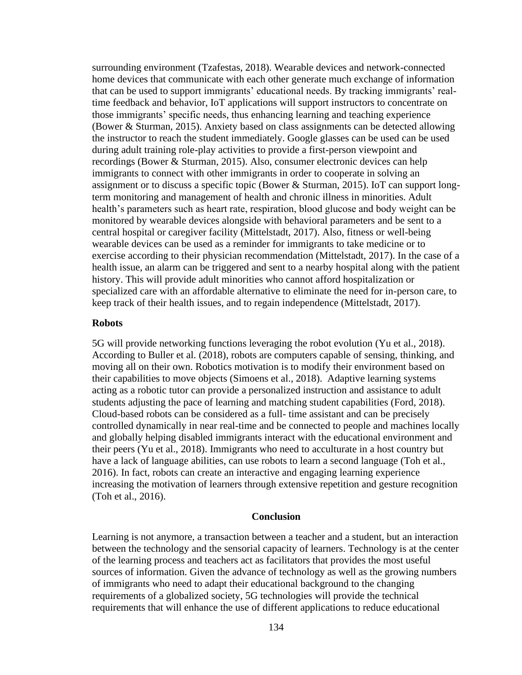surrounding environment (Tzafestas, 2018). Wearable devices and network-connected home devices that communicate with each other generate much exchange of information that can be used to support immigrants' educational needs. By tracking immigrants' realtime feedback and behavior, IoT applications will support instructors to concentrate on those immigrants' specific needs, thus enhancing learning and teaching experience (Bower & Sturman, 2015). Anxiety based on class assignments can be detected allowing the instructor to reach the student immediately. Google glasses can be used can be used during adult training role-play activities to provide a first-person viewpoint and recordings (Bower & Sturman, 2015). Also, consumer electronic devices can help immigrants to connect with other immigrants in order to cooperate in solving an assignment or to discuss a specific topic (Bower & Sturman, 2015). IoT can support longterm monitoring and management of health and chronic illness in minorities. Adult health's parameters such as heart rate, respiration, blood glucose and body weight can be monitored by wearable devices alongside with behavioral parameters and be sent to a central hospital or caregiver facility (Mittelstadt, 2017). Also, fitness or well-being wearable devices can be used as a reminder for immigrants to take medicine or to exercise according to their physician recommendation (Mittelstadt, 2017). In the case of a health issue, an alarm can be triggered and sent to a nearby hospital along with the patient history. This will provide adult minorities who cannot afford hospitalization or specialized care with an affordable alternative to eliminate the need for in-person care, to keep track of their health issues, and to regain independence (Mittelstadt, 2017).

#### **Robots**

5G will provide networking functions leveraging the robot evolution (Yu et al., 2018). According to Buller et al. (2018), robots are computers capable of sensing, thinking, and moving all on their own. Robotics motivation is to modify their environment based on their capabilities to move objects (Simoens et al., 2018). Adaptive learning systems acting as a robotic tutor can provide a personalized instruction and assistance to adult students adjusting the pace of learning and matching student capabilities (Ford, 2018). Cloud-based robots can be considered as a full- time assistant and can be precisely controlled dynamically in near real-time and be connected to people and machines locally and globally helping disabled immigrants interact with the educational environment and their peers (Yu et al., 2018). Immigrants who need to acculturate in a host country but have a lack of language abilities, can use robots to learn a second language (Toh et al., 2016). In fact, robots can create an interactive and engaging learning experience increasing the motivation of learners through extensive repetition and gesture recognition (Toh et al., 2016).

#### **Conclusion**

Learning is not anymore, a transaction between a teacher and a student, but an interaction between the technology and the sensorial capacity of learners. Technology is at the center of the learning process and teachers act as facilitators that provides the most useful sources of information. Given the advance of technology as well as the growing numbers of immigrants who need to adapt their educational background to the changing requirements of a globalized society, 5G technologies will provide the technical requirements that will enhance the use of different applications to reduce educational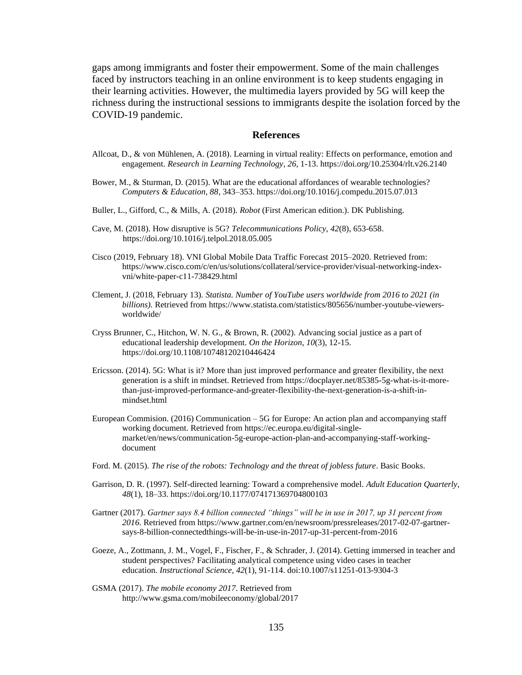gaps among immigrants and foster their empowerment. Some of the main challenges faced by instructors teaching in an online environment is to keep students engaging in their learning activities. However, the multimedia layers provided by 5G will keep the richness during the instructional sessions to immigrants despite the isolation forced by the COVID-19 pandemic.

#### **References**

- Allcoat, D., & von Mühlenen, A. (2018). Learning in virtual reality: Effects on performance, emotion and engagement. *Research in Learning Technology, 26,* 1-13. https://doi.org/10.25304/rlt.v26.2140
- Bower, M., & Sturman, D. (2015). What are the educational affordances of wearable technologies? *Computers & Education, 88*, 343–353. https://doi.org/10.1016/j.compedu.2015.07.013
- Buller, L., Gifford, C., & Mills, A. (2018). *Robot* (First American edition.). DK Publishing.
- Cave, M. (2018). How disruptive is 5G? *Telecommunications Policy, 42*(8), 653-658. https://doi.org/10.1016/j.telpol.2018.05.005
- Cisco (2019, February 18). VNI Global Mobile Data Traffic Forecast 2015–2020. Retrieved from: [https://www.cisco.com/c/en/us/solutions/collateral/service-provider/visual-networking-index](https://www.cisco.com/c/en/us/solutions/collateral/service-provider/visual-networking-index-vni/white-paper-c11-738429.html)[vni/white-paper-c11-738429.html](https://www.cisco.com/c/en/us/solutions/collateral/service-provider/visual-networking-index-vni/white-paper-c11-738429.html)
- Clement, J. (2018, February 13). *Statista. Number of YouTube users worldwide from 2016 to 2021 (in billions).* Retrieved from [https://www.statista.com/statistics/805656/number-youtube-viewers](https://www.statista.com/statistics/805656/number-youtube-viewers-worldwide/)[worldwide/](https://www.statista.com/statistics/805656/number-youtube-viewers-worldwide/)
- Cryss Brunner, C., Hitchon, W. N. G., & Brown, R. (2002). Advancing social justice as a part of educational leadership development. *On the Horizon, 10*(3), 12-15. https://doi.org/10.1108/10748120210446424
- Ericsson. (2014). 5G: What is it? More than just improved performance and greater flexibility, the next generation is a shift in mindset. Retrieved from [https://docplayer.net/85385-5g-what-is-it-more](https://docplayer.net/85385-5g-what-is-it-more-than-just-improved-performance-and-greater-flexibility-the-next-generation-is-a-shift-in-mindset.html)[than-just-improved-performance-and-greater-flexibility-the-next-generation-is-a-shift-in](https://docplayer.net/85385-5g-what-is-it-more-than-just-improved-performance-and-greater-flexibility-the-next-generation-is-a-shift-in-mindset.html)[mindset.html](https://docplayer.net/85385-5g-what-is-it-more-than-just-improved-performance-and-greater-flexibility-the-next-generation-is-a-shift-in-mindset.html)
- European Commision. (2016) Communication 5G for Europe: An action plan and accompanying staff working document. Retrieved from https://ec.europa.eu/digital-singlemarket/en/news/communication-5g-europe-action-plan-and-accompanying-staff-workingdocument
- Ford. M. (2015). *The rise of the robots: Technology and the threat of jobless future*. Basic Books.
- Garrison, D. R. (1997). Self-directed learning: Toward a comprehensive model. *Adult Education Quarterly*, *48*(1), 18–33. https://doi.org/10.1177/074171369704800103
- Gartner (2017). *Gartner says 8.4 billion connected "things" will be in use in 2017, up 31 percent from 2016.* Retrieved from https://www.gartner.com/en/newsroom/pressreleases/2017-02-07-gartnersays-8-billion-connectedthings-will-be-in-use-in-2017-up-31-percent-from-2016
- Goeze, A., Zottmann, J. M., Vogel, F., Fischer, F., & Schrader, J. (2014). Getting immersed in teacher and student perspectives? Facilitating analytical competence using video cases in teacher education. *Instructional Science, 42*(1), 91-114. doi:10.1007/s11251-013-9304-3
- GSMA (2017). *The mobile economy 2017*. Retrieved from <http://www.gsma.com/mobileeconomy/global/2017>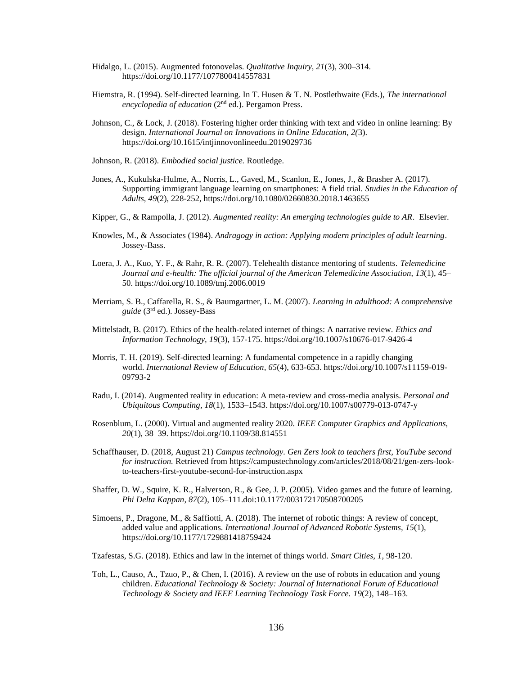- Hidalgo, L. (2015). Augmented fotonovelas. *Qualitative Inquiry, 21*(3), 300–314. https://doi.org/10.1177/1077800414557831
- Hiemstra, R. (1994). Self-directed learning. In T. Husen & T. N. Postlethwaite (Eds.), *The international encyclopedia of education* (2nd ed.). Pergamon Press.
- Johnson, C., & Lock, J. (2018). Fostering higher order thinking with text and video in online learning: By design. *International Journal on Innovations in Online Education, 2(*3). https://doi.org/10.1615/intjinnovonlineedu.2019029736
- Johnson, R. (2018). *Embodied social justice.* Routledge.
- Jones, A., Kukulska-Hulme, A., Norris, L., Gaved, M., Scanlon, E., Jones, J., & Brasher A. (2017). Supporting immigrant language learning on smartphones: A field trial. *Studies in the Education of Adults, 49*(2), 228-252, https://doi.org/10.1080/02660830.2018.1463655
- Kipper, G., & Rampolla, J. (2012). *Augmented reality: An emerging technologies guide to AR*. Elsevier.
- Knowles, M., & Associates (1984). *Andragogy in action: Applying modern principles of adult learning*. Jossey-Bass.
- Loera, J. A., Kuo, Y. F., & Rahr, R. R. (2007). Telehealth distance mentoring of students. *Telemedicine Journal and e-health: The official journal of the American Telemedicine Association, 13*(1), 45– 50. https://doi.org/10.1089/tmj.2006.0019
- Merriam, S. B., Caffarella, R. S., & Baumgartner, L. M. (2007). *Learning in adulthood: A comprehensive guide* (3rd ed.). Jossey-Bass
- Mittelstadt, B. (2017). Ethics of the health-related internet of things: A narrative review. *Ethics and Information Technology, 19*(3), 157-175. https://doi.org/10.1007/s10676-017-9426-4
- Morris, T. H. (2019). Self-directed learning: A fundamental competence in a rapidly changing world. *International Review of Education, 65*(4), 633-653. https://doi.org/10.1007/s11159-019- 09793-2
- Radu, I. (2014). Augmented reality in education: A meta-review and cross-media analysis. *[Personal and](https://link.springer.com/journal/779)  [Ubiquitous Computing,](https://link.springer.com/journal/779) 18*(1), 1533–1543. https://doi.org/10.1007/s00779-013-0747-y
- Rosenblum, L. (2000). Virtual and augmented reality 2020. *IEEE Computer Graphics and Applications, 20*(1), 38–39. https://doi.org/10.1109/38.814551
- Schaffhauser, D. (2018, August 21) *Campus technology. Gen Zers look to teachers first, YouTube second for instruction.* Retrieved from [https://campustechnology.com/articles/2018/08/21/gen-zers-look](https://campustechnology.com/articles/2018/08/21/gen-zers-look-to-teachers-first-youtube-second-for-instruction.aspx)[to-teachers-first-youtube-second-for-instruction.aspx](https://campustechnology.com/articles/2018/08/21/gen-zers-look-to-teachers-first-youtube-second-for-instruction.aspx)
- Shaffer, D. W., Squire, K. R., Halverson, R., & Gee, J. P. (2005). Video games and the future of learning. *Phi Delta Kappan, 87*(2), 105–111.doi:10.1177/003172170508700205
- Simoens, P., Dragone, M., & Saffiotti, A. (2018). The internet of robotic things: A review of concept, added value and applications. *International Journal of Advanced Robotic Systems, 15*(1), https://doi.org/10.1177/1729881418759424
- Tzafestas, S.G. (2018). Ethics and law in the internet of things world. *Smart Cities*, *1*, 98-120.
- Toh, L., Causo, A., Tzuo, P., & Chen, I. (2016). A review on the use of robots in education and young children. *Educational Technology & Society: Journal of International Forum of Educational Technology & Society and IEEE Learning Technology Task Force. 19*(2), 148–163.